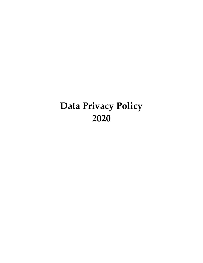# **Data Privacy Policy 2020**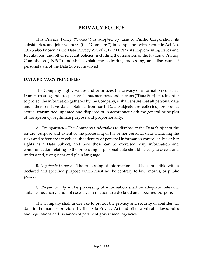## **PRIVACY POLICY**

This Privacy Policy ("Policy") is adopted by Landco Pacific Corporation, its subsidiaries, and joint ventures (the "Company") in compliance with Republic Act No. 10173 also known as the Data Privacy Act of 2012 ("DPA"), its Implementing Rules and Regulations, and other relevant policies, including the issuances of the National Privacy Commission ("NPC") and shall explain the collection, processing, and disclosure of personal data of the Data Subject involved.

## **DATA PRIVACY PRINCIPLES**

The Company highly values and prioritizes the privacy of information collected from its existing and prospective clients, members, and patrons ("Data Subject"). In order to protect the information gathered by the Company, it shall ensure that all personal data and other sensitive data obtained from such Data Subjects are collected, processed, stored, transmitted, updated and disposed of in accordance with the general principles of transparency, legitimate purpose and proportionality.

A. *Transparency* – The Company undertakes to disclose to the Data Subject of the nature, purpose and extent of the processing of his or her personal data, including the risks and safeguards involved, the identity of personal information controller, his or her rights as a Data Subject, and how these can be exercised. Any information and communication relating to the processing of personal data should be easy to access and understand, using clear and plain language.

B. *Legitimate Purpose* – The processing of information shall be compatible with a declared and specified purpose which must not be contrary to law, morals, or public policy.

C. *Proportionality* – The processing of information shall be adequate, relevant, suitable, necessary, and not excessive in relation to a declared and specified purpose.

The Company shall undertake to protect the privacy and security of confidential data in the manner provided by the Data Privacy Act and other applicable laws, rules and regulations and issuances of pertinent government agencies.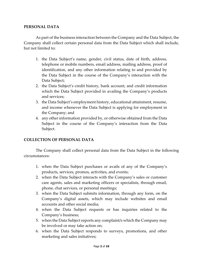## **PERSONAL DATA**

As part of the business interaction between the Company and the Data Subject, the Company shall collect certain personal data from the Data Subject which shall include, but not limited to:

- 1. the Data Subject's name, gender, civil status, date of birth, address, telephone or mobile numbers, email address, mailing address, proof of identification, and any other information relating to and provided by the Data Subject in the course of the Company's interaction with the Data Subject;
- 2. the Data Subject's credit history, bank account, and credit information which the Data Subject provided in availing the Company's products and services;
- 3. the Data Subject's employment history, educational attainment, resume, and income whenever the Data Subject is applying for employment in the Company; and
- 4. any other information provided by, or otherwise obtained from the Data Subject in the course of the Company's interaction from the Data Subject.

## **COLLECTION OF PERSONAL DATA**

The Company shall collect personal data from the Data Subject in the following circumstances:

- 1. when the Data Subject purchases or avails of any of the Company's products, services, promos, activities, and events;
- 2. when the Data Subject interacts with the Company's sales or customer care agents, sales and marketing officers or specialists, through email, phone, chat services, or personal meetings;
- 3. when the Data Subject submits information, through any form, on the Company's digital assets, which may include websites and email accounts and other social media;
- 4. when the Data Subject requests or has inquiries related to the Company's business;
- 5. when the Data Subject reports any complaint/s which the Company may be involved or may take action on;
- 6. when the Data Subject responds to surveys, promotions, and other marketing and sales initiatives;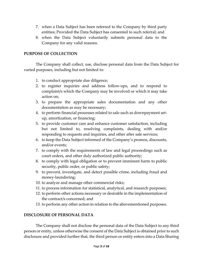- 7. when a Data Subject has been referred to the Company by third party entities; Provided the Data Subject has consented to such referral; and
- 8. when the Data Subject voluntarily submits personal data to the Company for any valid reasons.

## **PURPOSE OF COLLECTION**

The Company shall collect, use, disclose personal data from the Data Subject for varied purposes, including but not limited to:

- 1. to conduct appropriate due diligence;
- 2. to register inquiries and address follow-ups, and to respond to complaint/s which the Company may be involved or which it may take action on;
- 3. to prepare the appropriate sales documentation and any other documentation as may be necessary;
- 4. to perform financial processes related to sale such as downpayment setup, amortization, or financing;
- 5. to provide customer care and enhance customer satisfaction, including but not limited to, resolving complaints, dealing with and/or responding to requests and inquiries, and other after sale services;
- 6. to keep the Data Subject informed of the Company's promos, discounts, and/or events;
- 7. to comply with the requirements of law and legal proceedings such as court orders, and other duly authorized public authority;
- 8. to comply with legal obligation or to prevent imminent harm to public security, public order, or public safety;
- 9. to prevent, investigate, and detect possible crime, including fraud and money-laundering;
- 10. to analyze and manage other commercial risks;
- 11. to process information for statistical, analytical, and research purposes;
- 12. to perform other actions necessary or desirable in the implementation of the contract/s concerned; and
- 13. to perform any other action in relation to the abovementioned purposes.

## **DISCLOSURE OF PERSONAL DATA**

The Company shall not disclose the personal data of the Data Subject to any third person or entity, unless otherwise the consent of the Data Subject is obtained prior to such disclosure and provided further that, the third person or entity enters into a Data Sharing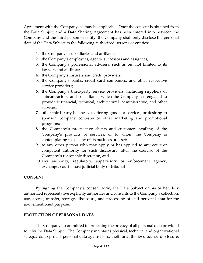Agreement with the Company, as may be applicable. Once the consent is obtained from the Data Subject and a Data Sharing Agreement has been entered into between the Company and the third person or entity, the Company shall only disclose the personal data of the Data Subject to the following authorized persons or entities:

- 1. the Company's subsidiaries and affiliates;
- 2. the Company's employees, agents, successors and assignees;
- 3. the Company's professional advisers, such as but not limited to its lawyers and auditors;
- 4. the Company's insurers and credit providers;
- 5. the Company's banks, credit card companies, and other respective service providers;
- 6. the Company's third-party service providers, including suppliers or subcontractors, and consultants, which the Company has engaged to provide it financial, technical, architectural, administrative, and other services;
- 7. other third-party business/es offering goods or services, or desiring to sponsor Company contest/s or other marketing and promotional programs;
- 8. the Company's prospective clients and customers availing of the Company's products or services, or to whom the Company is contemplating to sell any of its business or asset;
- 9. to any other person who may apply or has applied to any court or competent authority for such disclosure, after the exercise of the Company's reasonable discretion; and
- 10. any authority, regulatory, supervisory or enforcement agency, exchange, court, quasi-judicial body or tribunal

## **CONSENT**

By signing the Company's consent form, the Data Subject or his or her duly authorized representative explicitly authorizes and consents to the Company's collection, use, access, transfer, storage, disclosure, and processing of said personal data for the abovementioned purpose.

## **PROTECTION OF PERSONAL DATA**

The Company is committed to protecting the privacy of all personal data provided to it by the Data Subject. The Company maintains physical, technical and organizational safeguards to protect personal data against loss, theft, unauthorized access, disclosure,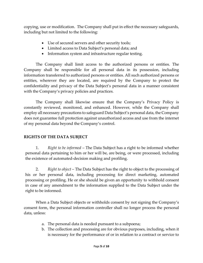copying, use or modification. The Company shall put in effect the necessary safeguards, including but not limited to the following:

- Use of secured servers and other security tools;
- Limited access to Data Subject's personal data; and
- Information system and infrastructure regular testing.

The Company shall limit access to the authorized persons or entities. The Company shall be responsible for all personal data in its possession, including information transferred to authorized persons or entities. All such authorized persons or entities, wherever they are located, are required by the Company to protect the confidentiality and privacy of the Data Subject's personal data in a manner consistent with the Company's privacy policies and practices.

The Company shall likewise ensure that the Company's Privacy Policy is constantly reviewed, monitored, and enhanced. However, while the Company shall employ all necessary precautions to safeguard Data Subject's personal data, the Company does not guarantee full protection against unauthorized access and use from the internet of my personal data beyond the Company's control.

## **RIGHTS OF THE DATA SUBJECT**

1. *Right to be informed* – The Data Subject has a right to be informed whether personal data pertaining to him or her will be, are being, or were processed, including the existence of automated-decision making and profiling.

2. *Right to object* – The Data Subject has the right to object to the processing of his or her personal data, including processing for direct marketing, automated processing or profiling. He or she should be given an opportunity to withhold consent in case of any amendment to the information supplied to the Data Subject under the right to be informed.

When a Data Subject objects or withholds consent by not signing the Company's consent form, the personal information controller shall no longer process the personal data, unless:

- a. The personal data is needed pursuant to a subpoena;
- b. The collection and processing are for obvious purposes, including, when it is necessary for the performance of or in relation to a contract or service to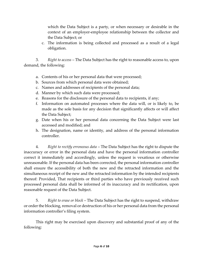which the Data Subject is a party, or when necessary or desirable in the context of an employer-employee relationship between the collector and the Data Subject; or

c. The information is being collected and processed as a result of a legal obligation.

3. *Right to access* – The Data Subject has the right to reasonable access to, upon demand, the following:

- a. Contents of his or her personal data that were processed;
- b. Sources from which personal data were obtained;
- c. Names and addresses of recipients of the personal data;
- d. Manner by which such data were processed;
- e. Reasons for the disclosure of the personal data to recipients, if any;
- f. Information on automated processes where the data will, or is likely to, be made as the sole basis for any decision that significantly affects or will affect the Data Subject;
- g. Date when his or her personal data concerning the Data Subject were last accessed and modified; and
- h. The designation, name or identity, and address of the personal information controller.

4. *Right to rectify erroneous data* – The Data Subject has the right to dispute the inaccuracy or error in the personal data and have the personal information controller correct it immediately and accordingly, unless the request is vexatious or otherwise unreasonable. If the personal data has been corrected, the personal information controller shall ensure the accessibility of both the new and the retracted information and the simultaneous receipt of the new and the retracted information by the intended recipients thereof: Provided, That recipients or third parties who have previously received such processed personal data shall be informed of its inaccuracy and its rectification, upon reasonable request of the Data Subject.

5. *Right to erase or block* – The Data Subject has the right to suspend, withdraw or order the blocking, removal or destruction of his or her personal data from the personal information controller's filing system.

This right may be exercised upon discovery and substantial proof of any of the following: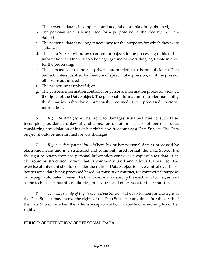- a. The personal data is incomplete, outdated, false, or unlawfully obtained;
- b. The personal data is being used for a purpose not authorized by the Data Subject;
- c. The personal data is no longer necessary for the purposes for which they were collected;
- d. The Data Subject withdraws consent or objects to the processing of his or her information, and there is no other legal ground or overriding legitimate interest for the processing;
- e. The personal data concerns private information that is prejudicial to Data Subject, unless justified by freedom of speech, of expression, or of the press or otherwise authorized;
- f. The processing is unlawful; or
- g. The personal information controller or personal information processor violated the rights of the Data Subject. The personal information controller may notify third parties who have previously received such processed personal information.

6. *Right to damages* – The right to damages sustained due to such false, incomplete, outdated, unlawfully obtained or unauthorized use of personal data, considering any violation of his or her rights and freedoms as a Data Subject. The Data Subject should be indemnified for any damages.

7. *Right to data portability* – Where his or her personal data is processed by electronic means and in a structured and commonly used format, the Data Subject has the right to obtain from the personal information controller a copy of such data in an electronic or structured format that is commonly used and allows further use. The exercise of this right should consider the right of Data Subject to have control over his or her personal data being processed based on consent or contract, for commercial purpose, or through automated means. The Commission may specify the electronic format, as well as the technical standards, modalities, procedures and other rules for their transfer.

*8. Transmissibility of Rights of the Data Subject* – The lawful heirs and assigns of the Data Subject may invoke the rights of the Data Subject at any time after the death of the Data Subject or when the latter is incapacitated or incapable of exercising his or her rights.

## **PERIOD OF RETENTION OF PERSONAL DATA**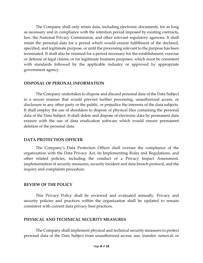The Company shall only retain data, including electronic documents, for as long as necessary and in compliance with the retention period imposed by existing contracts, law, the National Privacy Commission, and other relevant regulatory agencies. It shall retain the personal data for a period which would ensure fulfillment of the declared, specified, and legitimate purpose, or until the processing relevant to the purpose has been terminated. It shall also be retained for a period necessary for the establishment, exercise or defense of legal claims; or for legitimate business purposes, which must be consistent with standards followed by the applicable industry or approved by appropriate government agency.

## **DISPOSAL OF PERONAL INFORMATION**

The Company undertakes to dispose and discard personal data of the Data Subject in a secure manner that would prevent further processing, unauthorized access, or disclosure to any other party or the public, or prejudice the interests of the data subjects. It shall employ the use of shredders to dispose of physical files containing the personal data of the Data Subject. It shall delete and dispose of electronic data by permanent data erasure with the use of data eradication software which would ensure permanent deletion of the personal data.

## **DATA PROTECTION OFFICER**

The Company's Data Protection Officer shall oversee the compliance of the organization with the Data Privacy Act, its Implementing Rules and Regulations, and other related policies, including the conduct of a Privacy Impact Assessment, implementation of security measures, security incident and data breach protocol, and the inquiry and complaints procedure.

## **REVIEW OF THE POLICY**

This Privacy Policy shall be reviewed and evaluated annually. Privacy and security policies and practices within the organization shall be updated to remain consistent with current data privacy best practices.

#### **PHYSICAL AND TECHNICAL SECURITY MEASURES**

The Company shall implement physical and technical security measures to protect personal data of the Data Subject from unauthorized access, use, transfer, removal, or